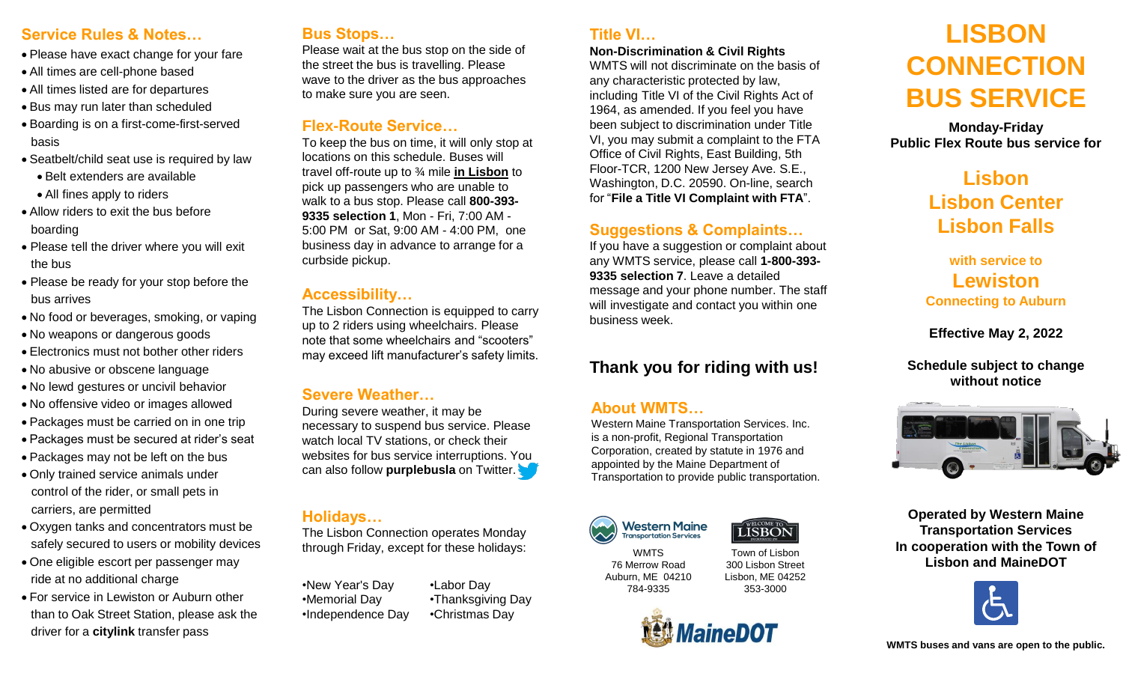#### **Service Rules & Notes…**

- Please have exact change for your fare
- All times are cell-phone based
- All times listed are for departures
- Bus may run later than scheduled
- Boarding is on a first-come-first-served basis
- Seatbelt/child seat use is required by law
	- Belt extenders are available
	- All fines apply to riders
- Allow riders to exit the bus before boarding
- Please tell the driver where you will exit the bus
- Please be ready for your stop before the bus arrives
- No food or beverages, smoking, or vaping
- No weapons or dangerous goods
- Electronics must not bother other riders
- No abusive or obscene language
- No lewd gestures or uncivil behavior
- No offensive video or images allowed
- Packages must be carried on in one trip
- Packages must be secured at rider's seat
- Packages may not be left on the bus
- Only trained service animals under control of the rider, or small pets in carriers, are permitted
- Oxygen tanks and concentrators must be safely secured to users or mobility devices
- One eligible escort per passenger may ride at no additional charge
- For service in Lewiston or Auburn other than to Oak Street Station, please ask the driver for a **citylink** transfer pass

#### **Bus Stops…**

Please wait at the bus stop on the side of the street the bus is travelling. Please wave to the driver as the bus approaches to make sure you are seen.

#### **Flex-Route Service…**

To keep the bus on time, it will only stop at locations on this schedule. Buses will travel off-route up to ¾ mile **in Lisbon** to pick up passengers who are unable to walk to a bus stop. Please call **800-393- 9335 selection 1**, Mon - Fri, 7:00 AM - 5:00 PM or Sat, 9:00 AM - 4:00 PM, one business day in advance to arrange for a curbside pickup.

#### **Accessibility…**

The Lisbon Connection is equipped to carry up to 2 riders using wheelchairs. Please note that some wheelchairs and "scooters" may exceed lift manufacturer's safety limits.

#### **Severe Weather…**

During severe weather, it may be necessary to suspend bus service. Please watch local TV stations, or check their websites for bus service interruptions. You can also follow **purplebusla** on Twitter.

#### **Holidays…**

The Lisbon Connection operates Monday through Friday, except for these holidays:

•New Year's Day •Memorial Day •Independence Day

•Labor Day •Thanksgiving Day •Christmas Day

#### **Title VI…**

#### **Non-Discrimination & Civil Rights**

WMTS will not discriminate on the basis of any characteristic protected by law, including Title VI of the Civil Rights Act of 1964, as amended. If you feel you have been subject to discrimination under Title VI, you may submit a complaint to the FTA Office of Civil Rights, East Building, 5th Floor-TCR, 1200 New Jersey Ave. S.E., Washington, D.C. 20590. On-line, search for "**File a Title VI Complaint with FTA**".

#### **Suggestions & Complaints…**

If you have a suggestion or complaint about any WMTS service, please call **1-800-393- 9335 selection 7**. Leave a detailed message and your phone number. The staff will investigate and contact you within one business week.

#### **Thank you for riding with us!**

#### **About WMTS…**

Western Maine Transportation Services. Inc. is a non-profit, Regional Transportation Corporation, created by statute in 1976 and appointed by the Maine Department of Transportation to provide public transportation.



784-9335 Town of Lisbon 300 Lisbon Street Lisbon, ME 04252 353-3000

LISBON



### **LISBON CONNECTION BUS SERVICE**

**Monday-Friday Public Flex Route bus service for** 

> **Lisbon Lisbon Center Lisbon Falls**

**with service to Lewiston Connecting to Auburn**

**Effective May 2, 2022**

**Schedule subject to change without notice**



**Operated by Western Maine Transportation Services In cooperation with the Town of Lisbon and MaineDOT**



76 Merrow Road Auburn, ME 04210

## **WMTS**